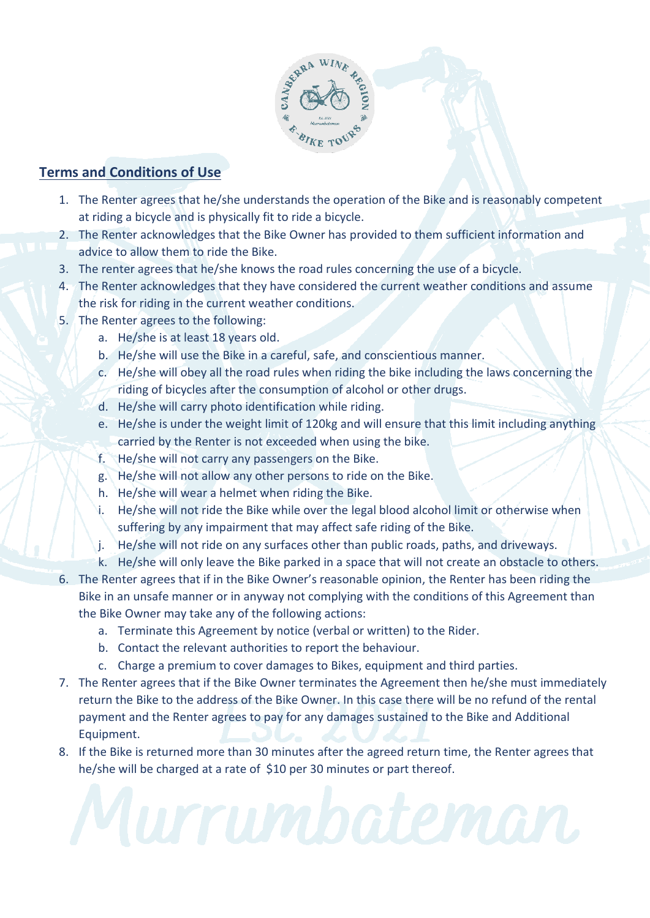

# **Terms and Conditions of Use**

- 1. The Renter agrees that he/she understands the operation of the Bike and is reasonably competent at riding a bicycle and is physically fit to ride a bicycle.
- 2. The Renter acknowledges that the Bike Owner has provided to them sufficient information and advice to allow them to ride the Bike.
- 3. The renter agrees that he/she knows the road rules concerning the use of a bicycle.
- 4. The Renter acknowledges that they have considered the current weather conditions and assume the risk for riding in the current weather conditions.
- 5. The Renter agrees to the following:
	- a. He/she is at least 18 years old.
	- b. He/she will use the Bike in a careful, safe, and conscientious manner.
	- c. He/she will obey all the road rules when riding the bike including the laws concerning the riding of bicycles after the consumption of alcohol or other drugs.
	- d. He/she will carry photo identification while riding.
	- e. He/she is under the weight limit of 120kg and will ensure that this limit including anything carried by the Renter is not exceeded when using the bike.
	- f. He/she will not carry any passengers on the Bike.
	- g. He/she will not allow any other persons to ride on the Bike.
	- h. He/she will wear a helmet when riding the Bike.
	- i. He/she will not ride the Bike while over the legal blood alcohol limit or otherwise when suffering by any impairment that may affect safe riding of the Bike.
	- j. He/she will not ride on any surfaces other than public roads, paths, and driveways.
	- k. He/she will only leave the Bike parked in a space that will not create an obstacle to others.
- 6. The Renter agrees that if in the Bike Owner's reasonable opinion, the Renter has been riding the Bike in an unsafe manner or in anyway not complying with the conditions of this Agreement than the Bike Owner may take any of the following actions:
	- a. Terminate this Agreement by notice (verbal or written) to the Rider.
	- b. Contact the relevant authorities to report the behaviour.
	- c. Charge a premium to cover damages to Bikes, equipment and third parties.
- 7. The Renter agrees that if the Bike Owner terminates the Agreement then he/she must immediately return the Bike to the address of the Bike Owner. In this case there will be no refund of the rental payment and the Renter agrees to pay for any damages sustained to the Bike and Additional Equipment.
- 8. If the Bike is returned more than 30 minutes after the agreed return time, the Renter agrees that he/she will be charged at a rate of \$10 per 30 minutes or part thereof.